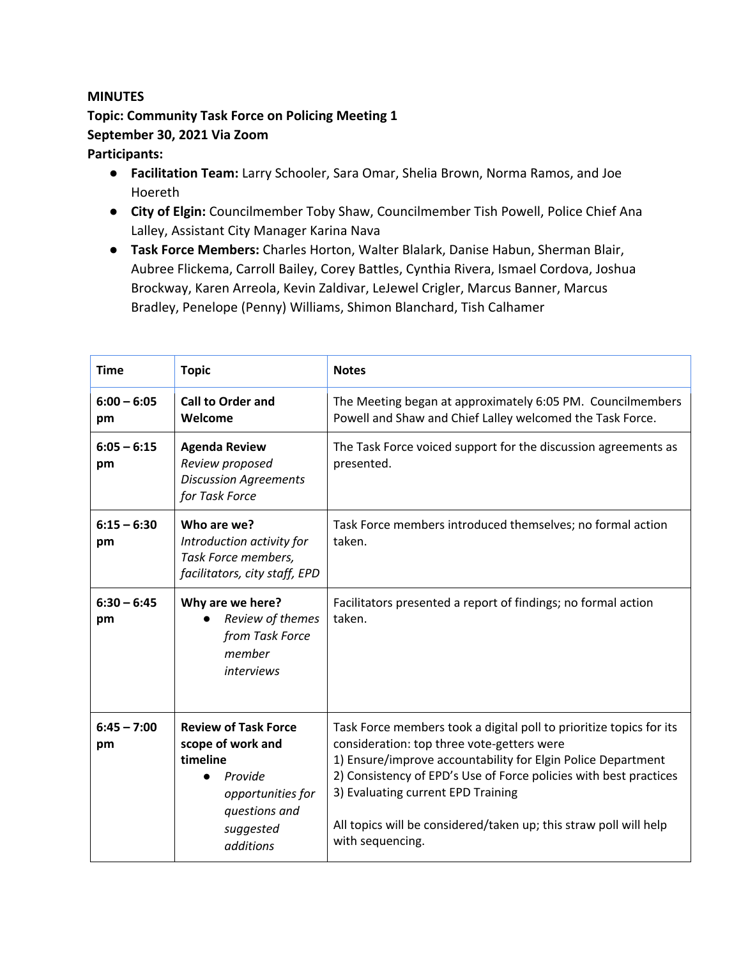## **MINUTES**

## **Topic: Community Task Force on Policing Meeting 1 September 30, 2021 Via Zoom**

## **Participants:**

- **Facilitation Team:** Larry Schooler, Sara Omar, Shelia Brown, Norma Ramos, and Joe Hoereth
- **City of Elgin:** Councilmember Toby Shaw, Councilmember Tish Powell, Police Chief Ana Lalley, Assistant City Manager Karina Nava
- **Task Force Members:** Charles Horton, Walter Blalark, Danise Habun, Sherman Blair, Aubree Flickema, Carroll Bailey, Corey Battles, Cynthia Rivera, Ismael Cordova, Joshua Brockway, Karen Arreola, Kevin Zaldivar, LeJewel Crigler, Marcus Banner, Marcus Bradley, Penelope (Penny) Williams, Shimon Blanchard, Tish Calhamer

| <b>Time</b>         | <b>Topic</b>                                                                                                                                 | <b>Notes</b>                                                                                                                                                                                                                                                                                                                                                                          |
|---------------------|----------------------------------------------------------------------------------------------------------------------------------------------|---------------------------------------------------------------------------------------------------------------------------------------------------------------------------------------------------------------------------------------------------------------------------------------------------------------------------------------------------------------------------------------|
| $6:00 - 6:05$<br>pm | <b>Call to Order and</b><br>Welcome                                                                                                          | The Meeting began at approximately 6:05 PM. Councilmembers<br>Powell and Shaw and Chief Lalley welcomed the Task Force.                                                                                                                                                                                                                                                               |
| $6:05 - 6:15$<br>pm | <b>Agenda Review</b><br>Review proposed<br><b>Discussion Agreements</b><br>for Task Force                                                    | The Task Force voiced support for the discussion agreements as<br>presented.                                                                                                                                                                                                                                                                                                          |
| $6:15 - 6:30$<br>pm | Who are we?<br>Introduction activity for<br>Task Force members,<br>facilitators, city staff, EPD                                             | Task Force members introduced themselves; no formal action<br>taken.                                                                                                                                                                                                                                                                                                                  |
| $6:30 - 6:45$<br>pm | Why are we here?<br>Review of themes<br>from Task Force<br>member<br><i>interviews</i>                                                       | Facilitators presented a report of findings; no formal action<br>taken.                                                                                                                                                                                                                                                                                                               |
| $6:45 - 7:00$<br>pm | <b>Review of Task Force</b><br>scope of work and<br>timeline<br>Provide<br>●<br>opportunities for<br>questions and<br>suggested<br>additions | Task Force members took a digital poll to prioritize topics for its<br>consideration: top three vote-getters were<br>1) Ensure/improve accountability for Elgin Police Department<br>2) Consistency of EPD's Use of Force policies with best practices<br>3) Evaluating current EPD Training<br>All topics will be considered/taken up; this straw poll will help<br>with sequencing. |